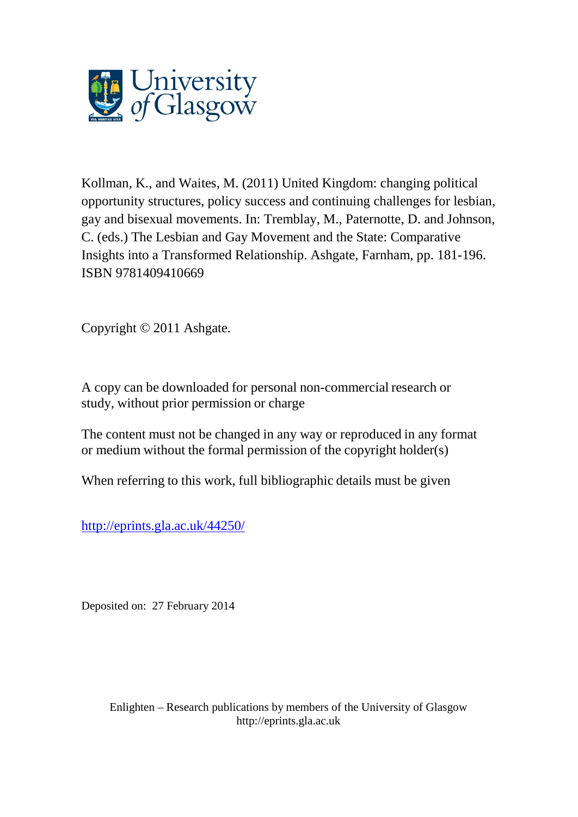

Kollman, K., and Waites, M. (2011) United Kingdom: changing political opportunity structures, policy success and continuing challenges for lesbian, gay and bisexual movements. In: Tremblay, M., Paternotte, D. and Johnson, C. (eds.) The Lesbian and Gay Movement and the State: Comparative Insights into a Transformed Relationship. Ashgate, Farnham, pp. 181-196. ISBN 9781409410669

Copyright © 2011 Ashgate.

A copy can be downloaded for personal non-commercial research or study, without prior permission or charge

The content must not be changed in any way or reproduced in any format or medium without the formal permission of the copyright holder(s)

When referring to this work, full bibliographic details must be given

<http://eprints.gla.ac.uk/44250/>

Deposited on: 27 February 2014

Enlighten – Research publications by members of the University of Glasgo[w](http://eprints.gla.ac.uk/) [http://eprints.gla.ac.uk](http://eprints.gla.ac.uk/)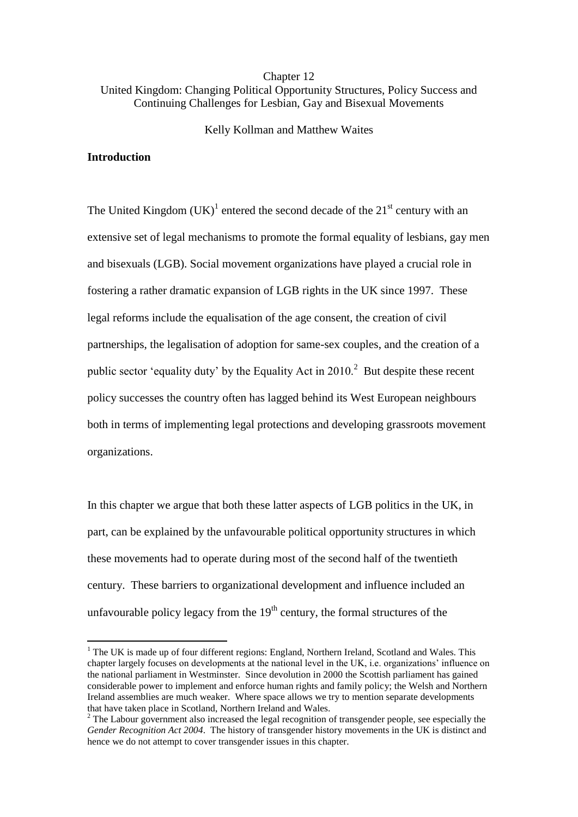## Chapter 12 United Kingdom: Changing Political Opportunity Structures, Policy Success and Continuing Challenges for Lesbian, Gay and Bisexual Movements

Kelly Kollman and Matthew Waites

### **Introduction**

<u>.</u>

The United Kingdom  $(UK)^1$  entered the second decade of the 21<sup>st</sup> century with an extensive set of legal mechanisms to promote the formal equality of lesbians, gay men and bisexuals (LGB). Social movement organizations have played a crucial role in fostering a rather dramatic expansion of LGB rights in the UK since 1997. These legal reforms include the equalisation of the age consent, the creation of civil partnerships, the legalisation of adoption for same-sex couples, and the creation of a public sector 'equality duty' by the Equality Act in 2010.<sup>2</sup> But despite these recent policy successes the country often has lagged behind its West European neighbours both in terms of implementing legal protections and developing grassroots movement organizations.

In this chapter we argue that both these latter aspects of LGB politics in the UK, in part, can be explained by the unfavourable political opportunity structures in which these movements had to operate during most of the second half of the twentieth century. These barriers to organizational development and influence included an unfavourable policy legacy from the  $19<sup>th</sup>$  century, the formal structures of the

 $<sup>1</sup>$  The UK is made up of four different regions: England, Northern Ireland, Scotland and Wales. This</sup> chapter largely focuses on developments at the national level in the UK, i.e. organizations' influence on the national parliament in Westminster. Since devolution in 2000 the Scottish parliament has gained considerable power to implement and enforce human rights and family policy; the Welsh and Northern Ireland assemblies are much weaker. Where space allows we try to mention separate developments that have taken place in Scotland, Northern Ireland and Wales.

<sup>&</sup>lt;sup>2</sup> The Labour government also increased the legal recognition of transgender people, see especially the *Gender Recognition Act 2004*. The history of transgender history movements in the UK is distinct and hence we do not attempt to cover transgender issues in this chapter.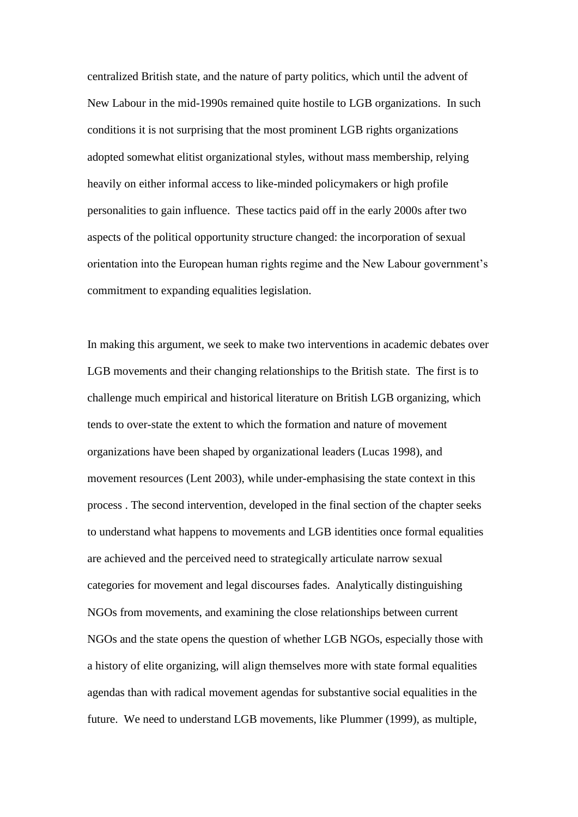centralized British state, and the nature of party politics, which until the advent of New Labour in the mid-1990s remained quite hostile to LGB organizations. In such conditions it is not surprising that the most prominent LGB rights organizations adopted somewhat elitist organizational styles, without mass membership, relying heavily on either informal access to like-minded policymakers or high profile personalities to gain influence. These tactics paid off in the early 2000s after two aspects of the political opportunity structure changed: the incorporation of sexual orientation into the European human rights regime and the New Labour government's commitment to expanding equalities legislation.

In making this argument, we seek to make two interventions in academic debates over LGB movements and their changing relationships to the British state. The first is to challenge much empirical and historical literature on British LGB organizing, which tends to over-state the extent to which the formation and nature of movement organizations have been shaped by organizational leaders (Lucas 1998), and movement resources (Lent 2003), while under-emphasising the state context in this process . The second intervention, developed in the final section of the chapter seeks to understand what happens to movements and LGB identities once formal equalities are achieved and the perceived need to strategically articulate narrow sexual categories for movement and legal discourses fades. Analytically distinguishing NGOs from movements, and examining the close relationships between current NGOs and the state opens the question of whether LGB NGOs, especially those with a history of elite organizing, will align themselves more with state formal equalities agendas than with radical movement agendas for substantive social equalities in the future. We need to understand LGB movements, like Plummer (1999), as multiple,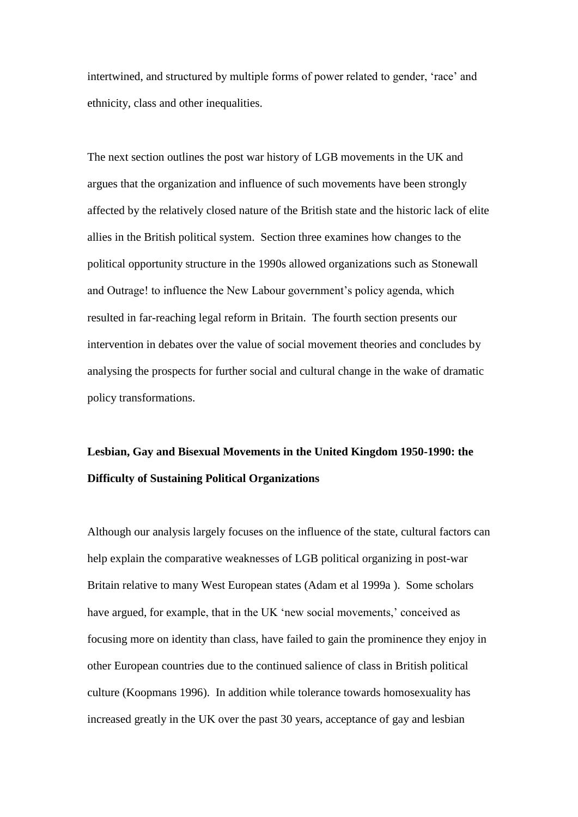intertwined, and structured by multiple forms of power related to gender, 'race' and ethnicity, class and other inequalities.

The next section outlines the post war history of LGB movements in the UK and argues that the organization and influence of such movements have been strongly affected by the relatively closed nature of the British state and the historic lack of elite allies in the British political system. Section three examines how changes to the political opportunity structure in the 1990s allowed organizations such as Stonewall and Outrage! to influence the New Labour government's policy agenda, which resulted in far-reaching legal reform in Britain. The fourth section presents our intervention in debates over the value of social movement theories and concludes by analysing the prospects for further social and cultural change in the wake of dramatic policy transformations.

# **Lesbian, Gay and Bisexual Movements in the United Kingdom 1950-1990: the Difficulty of Sustaining Political Organizations**

Although our analysis largely focuses on the influence of the state, cultural factors can help explain the comparative weaknesses of LGB political organizing in post-war Britain relative to many West European states (Adam et al 1999a ). Some scholars have argued, for example, that in the UK 'new social movements,' conceived as focusing more on identity than class, have failed to gain the prominence they enjoy in other European countries due to the continued salience of class in British political culture (Koopmans 1996). In addition while tolerance towards homosexuality has increased greatly in the UK over the past 30 years, acceptance of gay and lesbian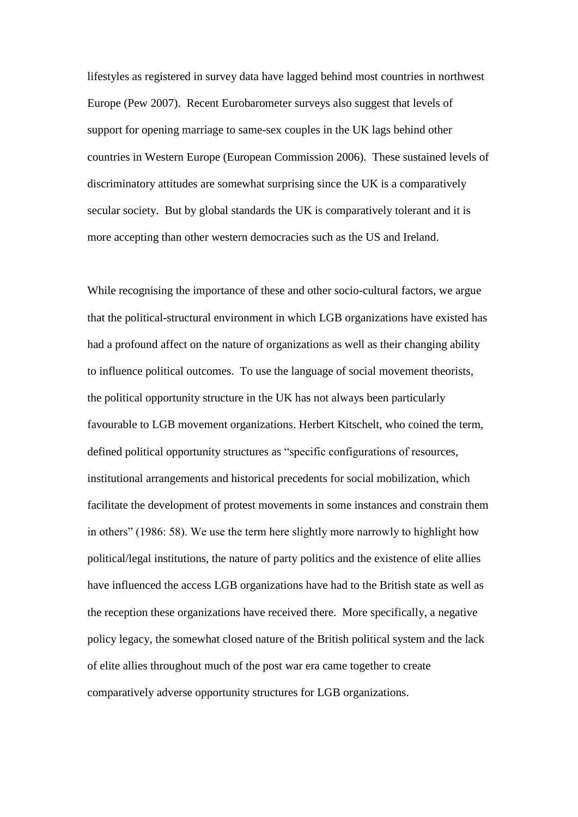lifestyles as registered in survey data have lagged behind most countries in northwest Europe (Pew 2007). Recent Eurobarometer surveys also suggest that levels of support for opening marriage to same-sex couples in the UK lags behind other countries in Western Europe (European Commission 2006). These sustained levels of discriminatory attitudes are somewhat surprising since the UK is a comparatively secular society. But by global standards the UK is comparatively tolerant and it is more accepting than other western democracies such as the US and Ireland.

While recognising the importance of these and other socio-cultural factors, we argue that the political-structural environment in which LGB organizations have existed has had a profound affect on the nature of organizations as well as their changing ability to influence political outcomes. To use the language of social movement theorists, the political opportunity structure in the UK has not always been particularly favourable to LGB movement organizations. Herbert Kitschelt, who coined the term, defined political opportunity structures as "specific configurations of resources, institutional arrangements and historical precedents for social mobilization, which facilitate the development of protest movements in some instances and constrain them in others" (1986: 58). We use the term here slightly more narrowly to highlight how political/legal institutions, the nature of party politics and the existence of elite allies have influenced the access LGB organizations have had to the British state as well as the reception these organizations have received there. More specifically, a negative policy legacy, the somewhat closed nature of the British political system and the lack of elite allies throughout much of the post war era came together to create comparatively adverse opportunity structures for LGB organizations.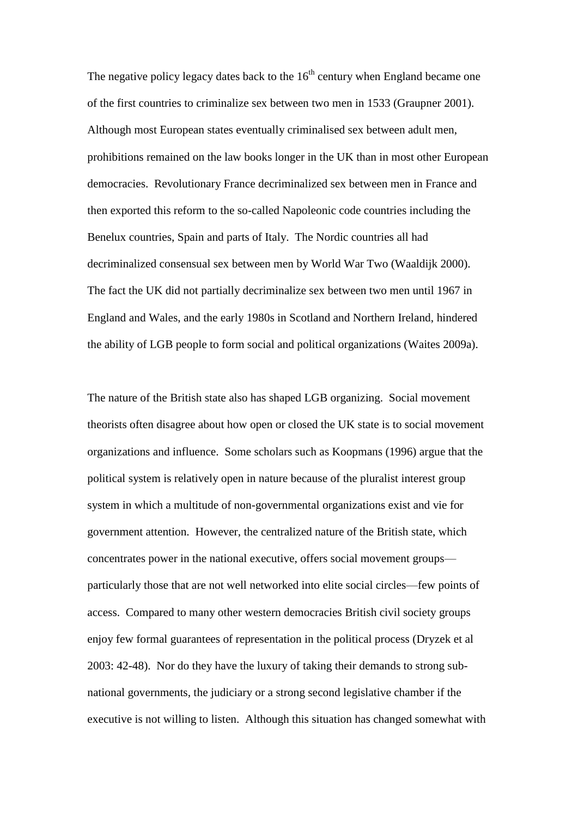The negative policy legacy dates back to the  $16<sup>th</sup>$  century when England became one of the first countries to criminalize sex between two men in 1533 (Graupner 2001). Although most European states eventually criminalised sex between adult men, prohibitions remained on the law books longer in the UK than in most other European democracies. Revolutionary France decriminalized sex between men in France and then exported this reform to the so-called Napoleonic code countries including the Benelux countries, Spain and parts of Italy. The Nordic countries all had decriminalized consensual sex between men by World War Two (Waaldijk 2000). The fact the UK did not partially decriminalize sex between two men until 1967 in England and Wales, and the early 1980s in Scotland and Northern Ireland, hindered the ability of LGB people to form social and political organizations (Waites 2009a).

The nature of the British state also has shaped LGB organizing. Social movement theorists often disagree about how open or closed the UK state is to social movement organizations and influence. Some scholars such as Koopmans (1996) argue that the political system is relatively open in nature because of the pluralist interest group system in which a multitude of non-governmental organizations exist and vie for government attention. However, the centralized nature of the British state, which concentrates power in the national executive, offers social movement groups particularly those that are not well networked into elite social circles—few points of access. Compared to many other western democracies British civil society groups enjoy few formal guarantees of representation in the political process (Dryzek et al 2003: 42-48). Nor do they have the luxury of taking their demands to strong subnational governments, the judiciary or a strong second legislative chamber if the executive is not willing to listen. Although this situation has changed somewhat with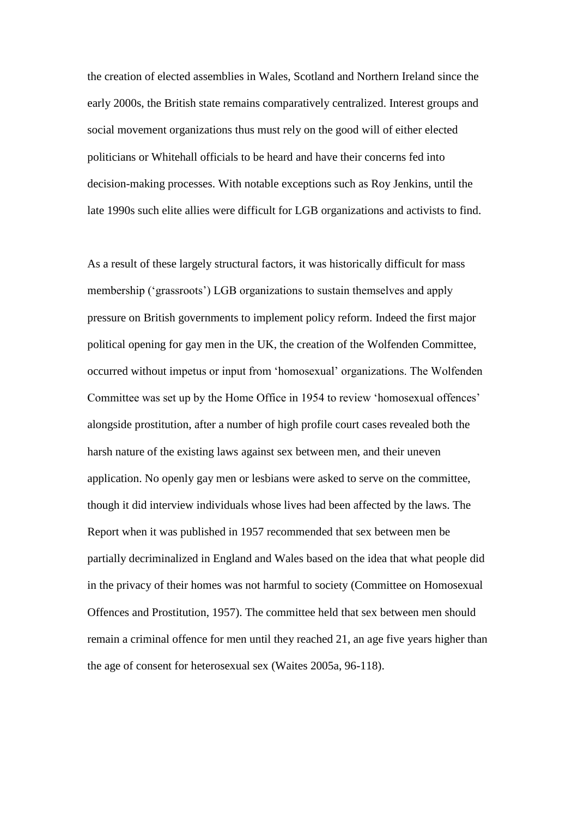the creation of elected assemblies in Wales, Scotland and Northern Ireland since the early 2000s, the British state remains comparatively centralized. Interest groups and social movement organizations thus must rely on the good will of either elected politicians or Whitehall officials to be heard and have their concerns fed into decision-making processes. With notable exceptions such as Roy Jenkins, until the late 1990s such elite allies were difficult for LGB organizations and activists to find.

As a result of these largely structural factors, it was historically difficult for mass membership ('grassroots') LGB organizations to sustain themselves and apply pressure on British governments to implement policy reform. Indeed the first major political opening for gay men in the UK, the creation of the Wolfenden Committee, occurred without impetus or input from 'homosexual' organizations. The Wolfenden Committee was set up by the Home Office in 1954 to review 'homosexual offences' alongside prostitution, after a number of high profile court cases revealed both the harsh nature of the existing laws against sex between men, and their uneven application. No openly gay men or lesbians were asked to serve on the committee, though it did interview individuals whose lives had been affected by the laws. The Report when it was published in 1957 recommended that sex between men be partially decriminalized in England and Wales based on the idea that what people did in the privacy of their homes was not harmful to society (Committee on Homosexual Offences and Prostitution, 1957). The committee held that sex between men should remain a criminal offence for men until they reached 21, an age five years higher than the age of consent for heterosexual sex (Waites 2005a, 96-118).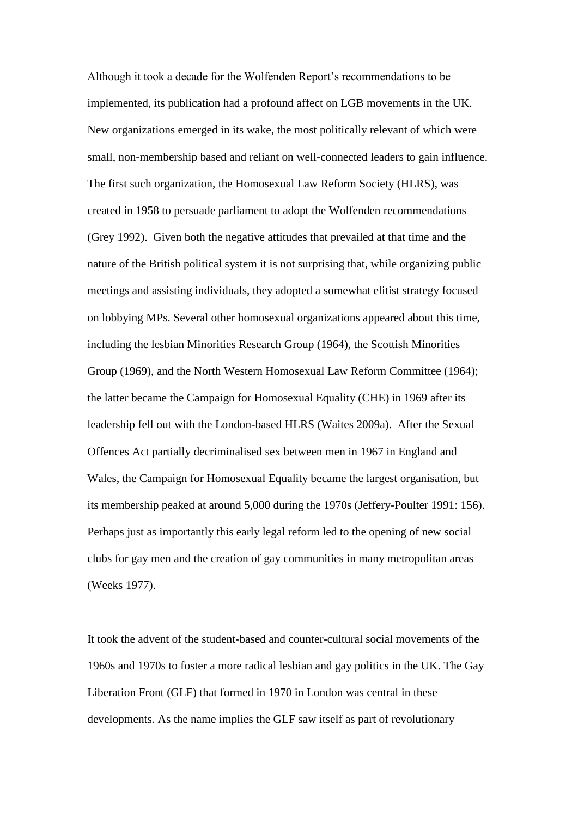Although it took a decade for the Wolfenden Report's recommendations to be implemented, its publication had a profound affect on LGB movements in the UK. New organizations emerged in its wake, the most politically relevant of which were small, non-membership based and reliant on well-connected leaders to gain influence. The first such organization, the Homosexual Law Reform Society (HLRS), was created in 1958 to persuade parliament to adopt the Wolfenden recommendations (Grey 1992). Given both the negative attitudes that prevailed at that time and the nature of the British political system it is not surprising that, while organizing public meetings and assisting individuals, they adopted a somewhat elitist strategy focused on lobbying MPs. Several other homosexual organizations appeared about this time, including the lesbian Minorities Research Group (1964), the Scottish Minorities Group (1969), and the North Western Homosexual Law Reform Committee (1964); the latter became the Campaign for Homosexual Equality (CHE) in 1969 after its leadership fell out with the London-based HLRS (Waites 2009a). After the Sexual Offences Act partially decriminalised sex between men in 1967 in England and Wales, the Campaign for Homosexual Equality became the largest organisation, but its membership peaked at around 5,000 during the 1970s (Jeffery-Poulter 1991: 156). Perhaps just as importantly this early legal reform led to the opening of new social clubs for gay men and the creation of gay communities in many metropolitan areas (Weeks 1977).

It took the advent of the student-based and counter-cultural social movements of the 1960s and 1970s to foster a more radical lesbian and gay politics in the UK. The Gay Liberation Front (GLF) that formed in 1970 in London was central in these developments. As the name implies the GLF saw itself as part of revolutionary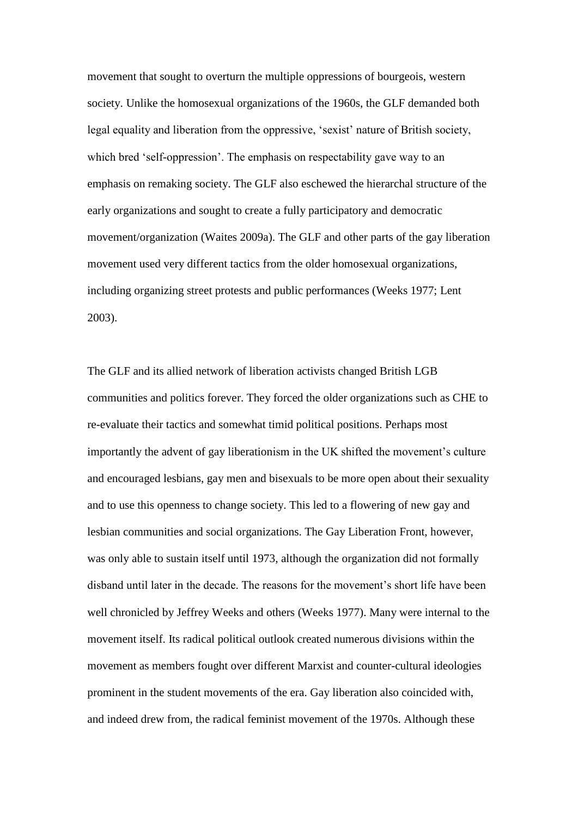movement that sought to overturn the multiple oppressions of bourgeois, western society. Unlike the homosexual organizations of the 1960s, the GLF demanded both legal equality and liberation from the oppressive, 'sexist' nature of British society, which bred 'self-oppression'. The emphasis on respectability gave way to an emphasis on remaking society. The GLF also eschewed the hierarchal structure of the early organizations and sought to create a fully participatory and democratic movement/organization (Waites 2009a). The GLF and other parts of the gay liberation movement used very different tactics from the older homosexual organizations, including organizing street protests and public performances (Weeks 1977; Lent 2003).

The GLF and its allied network of liberation activists changed British LGB communities and politics forever. They forced the older organizations such as CHE to re-evaluate their tactics and somewhat timid political positions. Perhaps most importantly the advent of gay liberationism in the UK shifted the movement's culture and encouraged lesbians, gay men and bisexuals to be more open about their sexuality and to use this openness to change society. This led to a flowering of new gay and lesbian communities and social organizations. The Gay Liberation Front, however, was only able to sustain itself until 1973, although the organization did not formally disband until later in the decade. The reasons for the movement's short life have been well chronicled by Jeffrey Weeks and others (Weeks 1977). Many were internal to the movement itself. Its radical political outlook created numerous divisions within the movement as members fought over different Marxist and counter-cultural ideologies prominent in the student movements of the era. Gay liberation also coincided with, and indeed drew from, the radical feminist movement of the 1970s. Although these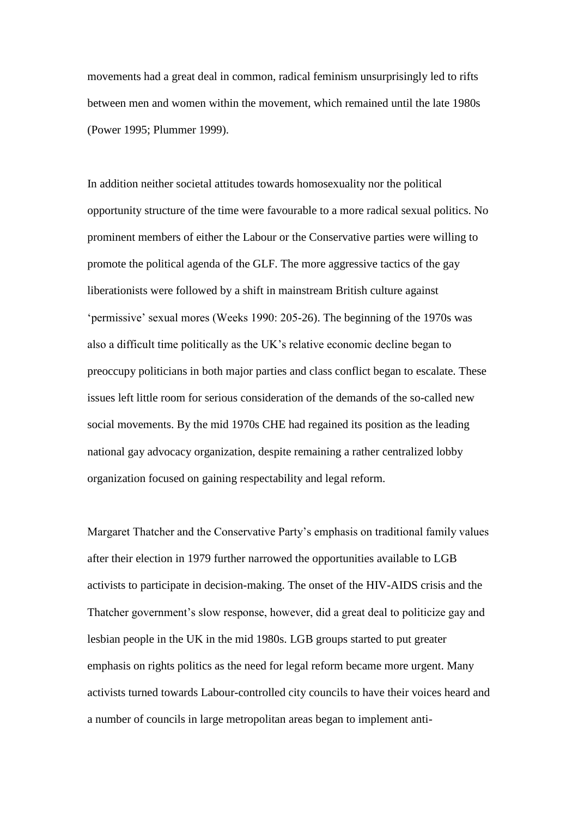movements had a great deal in common, radical feminism unsurprisingly led to rifts between men and women within the movement, which remained until the late 1980s (Power 1995; Plummer 1999).

In addition neither societal attitudes towards homosexuality nor the political opportunity structure of the time were favourable to a more radical sexual politics. No prominent members of either the Labour or the Conservative parties were willing to promote the political agenda of the GLF. The more aggressive tactics of the gay liberationists were followed by a shift in mainstream British culture against 'permissive' sexual mores (Weeks 1990: 205-26). The beginning of the 1970s was also a difficult time politically as the UK's relative economic decline began to preoccupy politicians in both major parties and class conflict began to escalate. These issues left little room for serious consideration of the demands of the so-called new social movements. By the mid 1970s CHE had regained its position as the leading national gay advocacy organization, despite remaining a rather centralized lobby organization focused on gaining respectability and legal reform.

Margaret Thatcher and the Conservative Party's emphasis on traditional family values after their election in 1979 further narrowed the opportunities available to LGB activists to participate in decision-making. The onset of the HIV-AIDS crisis and the Thatcher government's slow response, however, did a great deal to politicize gay and lesbian people in the UK in the mid 1980s. LGB groups started to put greater emphasis on rights politics as the need for legal reform became more urgent. Many activists turned towards Labour-controlled city councils to have their voices heard and a number of councils in large metropolitan areas began to implement anti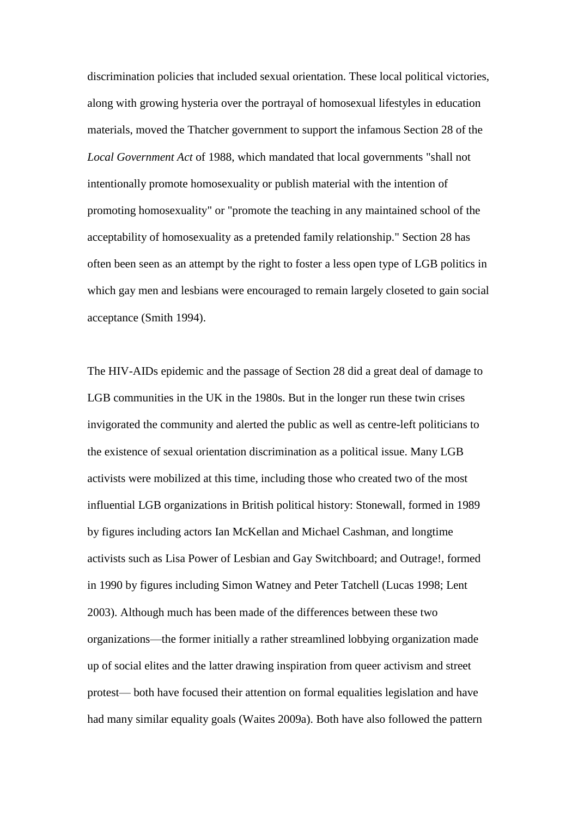discrimination policies that included sexual orientation. These local political victories, along with growing hysteria over the portrayal of homosexual lifestyles in education materials, moved the Thatcher government to support the infamous Section 28 of the *Local Government Act* of 1988, which mandated that local governments "shall not intentionally promote homosexuality or publish material with the intention of promoting homosexuality" or "promote the teaching in any [maintained school](http://en.wikipedia.org/wiki/Maintained_school) of the acceptability of homosexuality as a pretended family relationship." Section 28 has often been seen as an attempt by the right to foster a less open type of LGB politics in which gay men and lesbians were encouraged to remain largely closeted to gain social acceptance (Smith 1994).

The HIV-AIDs epidemic and the passage of Section 28 did a great deal of damage to LGB communities in the UK in the 1980s. But in the longer run these twin crises invigorated the community and alerted the public as well as centre-left politicians to the existence of sexual orientation discrimination as a political issue. Many LGB activists were mobilized at this time, including those who created two of the most influential LGB organizations in British political history: Stonewall, formed in 1989 by figures including actors Ian McKellan and Michael Cashman, and longtime activists such as Lisa Power of Lesbian and Gay Switchboard; and Outrage!, formed in 1990 by figures including Simon Watney and Peter Tatchell (Lucas 1998; Lent 2003). Although much has been made of the differences between these two organizations—the former initially a rather streamlined lobbying organization made up of social elites and the latter drawing inspiration from queer activism and street protest— both have focused their attention on formal equalities legislation and have had many similar equality goals (Waites 2009a). Both have also followed the pattern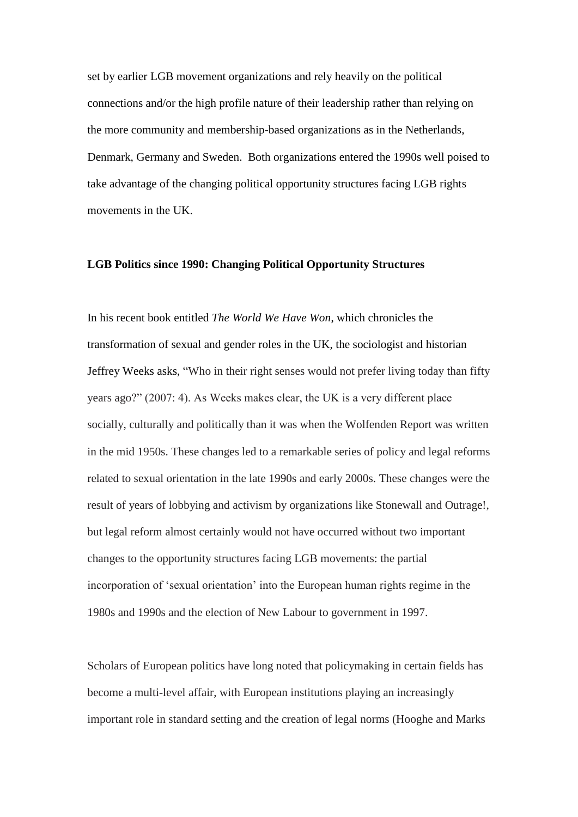set by earlier LGB movement organizations and rely heavily on the political connections and/or the high profile nature of their leadership rather than relying on the more community and membership-based organizations as in the Netherlands, Denmark, Germany and Sweden. Both organizations entered the 1990s well poised to take advantage of the changing political opportunity structures facing LGB rights movements in the UK.

#### **LGB Politics since 1990: Changing Political Opportunity Structures**

In his recent book entitled *The World We Have Won*, which chronicles the transformation of sexual and gender roles in the UK, the sociologist and historian Jeffrey Weeks asks, "Who in their right senses would not prefer living today than fifty years ago?" (2007: 4). As Weeks makes clear, the UK is a very different place socially, culturally and politically than it was when the Wolfenden Report was written in the mid 1950s. These changes led to a remarkable series of policy and legal reforms related to sexual orientation in the late 1990s and early 2000s. These changes were the result of years of lobbying and activism by organizations like Stonewall and Outrage!, but legal reform almost certainly would not have occurred without two important changes to the opportunity structures facing LGB movements: the partial incorporation of 'sexual orientation' into the European human rights regime in the 1980s and 1990s and the election of New Labour to government in 1997.

Scholars of European politics have long noted that policymaking in certain fields has become a multi-level affair, with European institutions playing an increasingly important role in standard setting and the creation of legal norms (Hooghe and Marks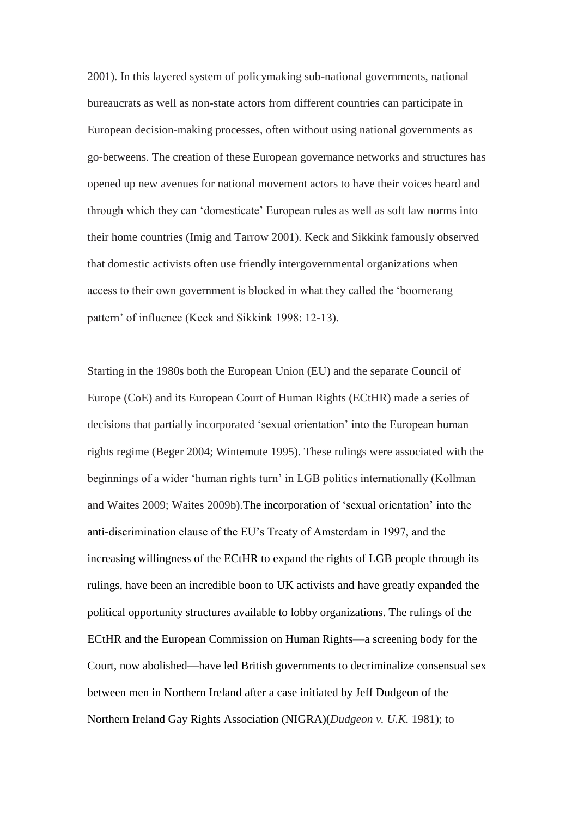2001). In this layered system of policymaking sub-national governments, national bureaucrats as well as non-state actors from different countries can participate in European decision-making processes, often without using national governments as go-betweens. The creation of these European governance networks and structures has opened up new avenues for national movement actors to have their voices heard and through which they can 'domesticate' European rules as well as soft law norms into their home countries (Imig and Tarrow 2001). Keck and Sikkink famously observed that domestic activists often use friendly intergovernmental organizations when access to their own government is blocked in what they called the 'boomerang pattern' of influence (Keck and Sikkink 1998: 12-13).

Starting in the 1980s both the European Union (EU) and the separate Council of Europe (CoE) and its European Court of Human Rights (ECtHR) made a series of decisions that partially incorporated 'sexual orientation' into the European human rights regime (Beger 2004; Wintemute 1995). These rulings were associated with the beginnings of a wider 'human rights turn' in LGB politics internationally (Kollman and Waites 2009; Waites 2009b).The incorporation of 'sexual orientation' into the anti-discrimination clause of the EU's Treaty of Amsterdam in 1997, and the increasing willingness of the ECtHR to expand the rights of LGB people through its rulings, have been an incredible boon to UK activists and have greatly expanded the political opportunity structures available to lobby organizations. The rulings of the ECtHR and the European Commission on Human Rights—a screening body for the Court, now abolished—have led British governments to decriminalize consensual sex between men in Northern Ireland after a case initiated by Jeff Dudgeon of the Northern Ireland Gay Rights Association (NIGRA)(*Dudgeon v. U.K.* 1981); to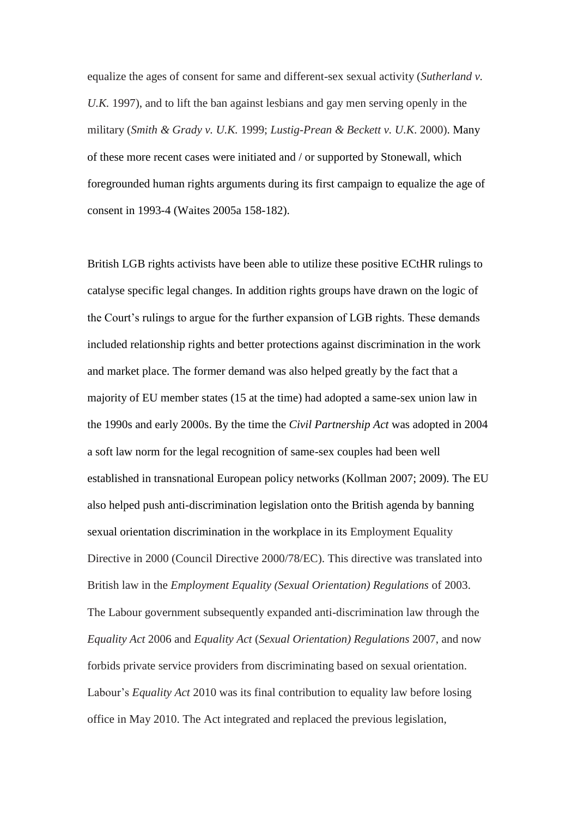equalize the ages of consent for same and different-sex sexual activity (*Sutherland v. U.K.* 1997), and to lift the ban against lesbians and gay men serving openly in the military (*Smith & Grady v. U.K.* 1999; *Lustig-Prean & Beckett v. U.K*. 2000). Many of these more recent cases were initiated and / or supported by Stonewall, which foregrounded human rights arguments during its first campaign to equalize the age of consent in 1993-4 (Waites 2005a 158-182).

British LGB rights activists have been able to utilize these positive ECtHR rulings to catalyse specific legal changes. In addition rights groups have drawn on the logic of the Court's rulings to argue for the further expansion of LGB rights. These demands included relationship rights and better protections against discrimination in the work and market place. The former demand was also helped greatly by the fact that a majority of EU member states (15 at the time) had adopted a same-sex union law in the 1990s and early 2000s. By the time the *Civil Partnership Act* was adopted in 2004 a soft law norm for the legal recognition of same-sex couples had been well established in transnational European policy networks (Kollman 2007; 2009). The EU also helped push anti-discrimination legislation onto the British agenda by banning sexual orientation discrimination in the workplace in its Employment Equality Directive in 2000 (Council Directive 2000/78/EC). This directive was translated into British law in the *Employment Equality (Sexual Orientation) Regulations* of 2003. The Labour government subsequently expanded anti-discrimination law through the *Equality Act* 2006 and *Equality Act* (*Sexual Orientation) Regulations* 2007, and now forbids private service providers from discriminating based on sexual orientation. Labour's *Equality Act* 2010 was its final contribution to equality law before losing office in May 2010. The Act integrated and replaced the previous legislation,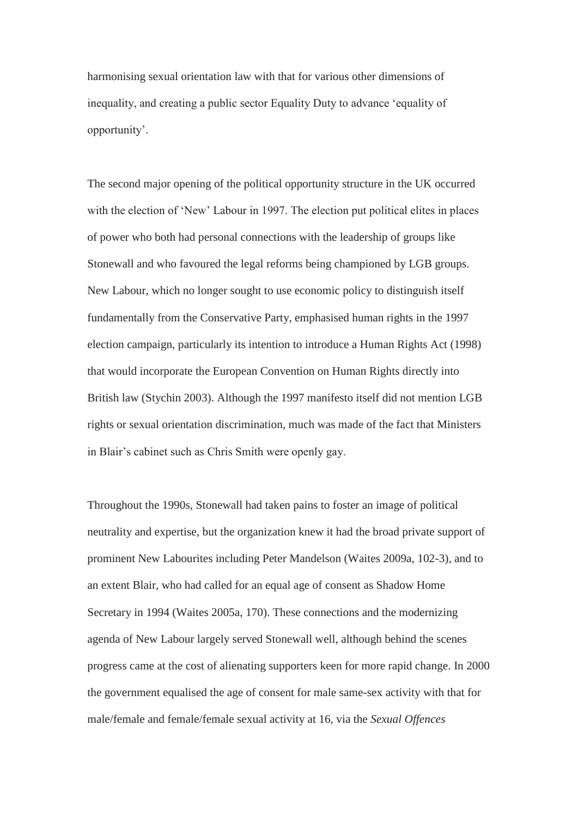harmonising sexual orientation law with that for various other dimensions of inequality, and creating a public sector Equality Duty to advance 'equality of opportunity'.

The second major opening of the political opportunity structure in the UK occurred with the election of 'New' Labour in 1997. The election put political elites in places of power who both had personal connections with the leadership of groups like Stonewall and who favoured the legal reforms being championed by LGB groups. New Labour, which no longer sought to use economic policy to distinguish itself fundamentally from the Conservative Party, emphasised human rights in the 1997 election campaign, particularly its intention to introduce a Human Rights Act (1998) that would incorporate the European Convention on Human Rights directly into British law (Stychin 2003). Although the 1997 manifesto itself did not mention LGB rights or sexual orientation discrimination, much was made of the fact that Ministers in Blair's cabinet such as Chris Smith were openly gay.

Throughout the 1990s, Stonewall had taken pains to foster an image of political neutrality and expertise, but the organization knew it had the broad private support of prominent New Labourites including Peter Mandelson (Waites 2009a, 102-3), and to an extent Blair, who had called for an equal age of consent as Shadow Home Secretary in 1994 (Waites 2005a, 170). These connections and the modernizing agenda of New Labour largely served Stonewall well, although behind the scenes progress came at the cost of alienating supporters keen for more rapid change. In 2000 the government equalised the age of consent for male same-sex activity with that for male/female and female/female sexual activity at 16, via the *Sexual Offences*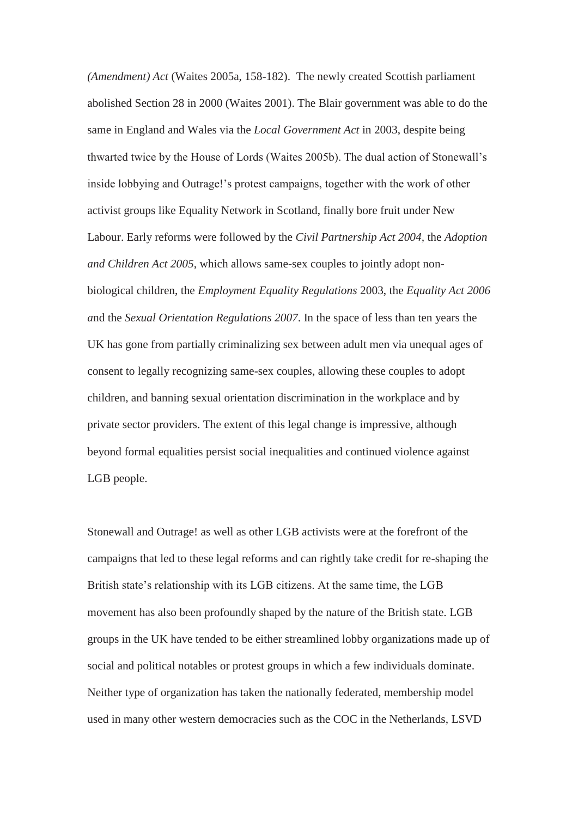*(Amendment) Act* (Waites 2005a, 158-182). The newly created Scottish parliament abolished Section 28 in 2000 (Waites 2001). The Blair government was able to do the same in England and Wales via the *Local Government Act* in 2003, despite being thwarted twice by the House of Lords (Waites 2005b). The dual action of Stonewall's inside lobbying and Outrage!'s protest campaigns, together with the work of other activist groups like Equality Network in Scotland, finally bore fruit under New Labour. Early reforms were followed by the *Civil Partnership Act 2004,* the *Adoption and Children Act 2005*, which allows same-sex couples to jointly adopt nonbiological children, the *Employment Equality Regulations* 2003, the *Equality Act 2006 a*nd the *Sexual Orientation Regulations 2007*. In the space of less than ten years the UK has gone from partially criminalizing sex between adult men via unequal ages of consent to legally recognizing same-sex couples, allowing these couples to adopt children, and banning sexual orientation discrimination in the workplace and by private sector providers. The extent of this legal change is impressive, although beyond formal equalities persist social inequalities and continued violence against LGB people.

Stonewall and Outrage! as well as other LGB activists were at the forefront of the campaigns that led to these legal reforms and can rightly take credit for re-shaping the British state's relationship with its LGB citizens. At the same time, the LGB movement has also been profoundly shaped by the nature of the British state. LGB groups in the UK have tended to be either streamlined lobby organizations made up of social and political notables or protest groups in which a few individuals dominate. Neither type of organization has taken the nationally federated, membership model used in many other western democracies such as the COC in the Netherlands, LSVD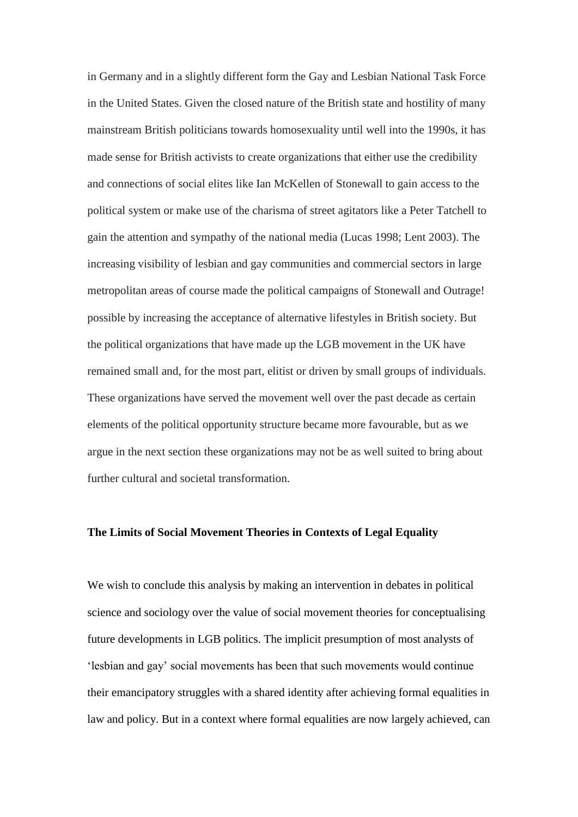in Germany and in a slightly different form the Gay and Lesbian National Task Force in the United States. Given the closed nature of the British state and hostility of many mainstream British politicians towards homosexuality until well into the 1990s, it has made sense for British activists to create organizations that either use the credibility and connections of social elites like Ian McKellen of Stonewall to gain access to the political system or make use of the charisma of street agitators like a Peter Tatchell to gain the attention and sympathy of the national media (Lucas 1998; Lent 2003). The increasing visibility of lesbian and gay communities and commercial sectors in large metropolitan areas of course made the political campaigns of Stonewall and Outrage! possible by increasing the acceptance of alternative lifestyles in British society. But the political organizations that have made up the LGB movement in the UK have remained small and, for the most part, elitist or driven by small groups of individuals. These organizations have served the movement well over the past decade as certain elements of the political opportunity structure became more favourable, but as we argue in the next section these organizations may not be as well suited to bring about further cultural and societal transformation.

#### **The Limits of Social Movement Theories in Contexts of Legal Equality**

We wish to conclude this analysis by making an intervention in debates in political science and sociology over the value of social movement theories for conceptualising future developments in LGB politics. The implicit presumption of most analysts of 'lesbian and gay' social movements has been that such movements would continue their emancipatory struggles with a shared identity after achieving formal equalities in law and policy. But in a context where formal equalities are now largely achieved, can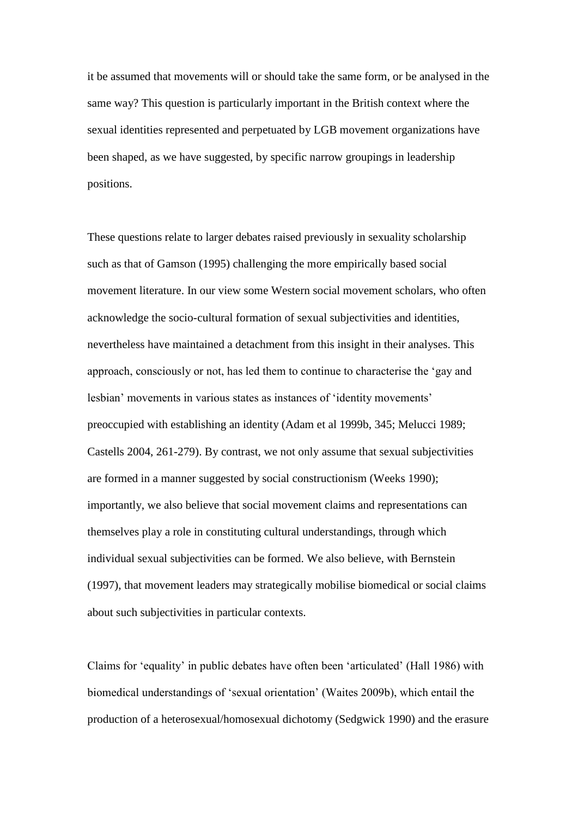it be assumed that movements will or should take the same form, or be analysed in the same way? This question is particularly important in the British context where the sexual identities represented and perpetuated by LGB movement organizations have been shaped, as we have suggested, by specific narrow groupings in leadership positions.

These questions relate to larger debates raised previously in sexuality scholarship such as that of Gamson (1995) challenging the more empirically based social movement literature. In our view some Western social movement scholars, who often acknowledge the socio-cultural formation of sexual subjectivities and identities, nevertheless have maintained a detachment from this insight in their analyses. This approach, consciously or not, has led them to continue to characterise the 'gay and lesbian' movements in various states as instances of 'identity movements' preoccupied with establishing an identity (Adam et al 1999b, 345; Melucci 1989; Castells 2004, 261-279). By contrast, we not only assume that sexual subjectivities are formed in a manner suggested by social constructionism (Weeks 1990); importantly, we also believe that social movement claims and representations can themselves play a role in constituting cultural understandings, through which individual sexual subjectivities can be formed. We also believe, with Bernstein (1997), that movement leaders may strategically mobilise biomedical or social claims about such subjectivities in particular contexts.

Claims for 'equality' in public debates have often been 'articulated' (Hall 1986) with biomedical understandings of 'sexual orientation' (Waites 2009b), which entail the production of a heterosexual/homosexual dichotomy (Sedgwick 1990) and the erasure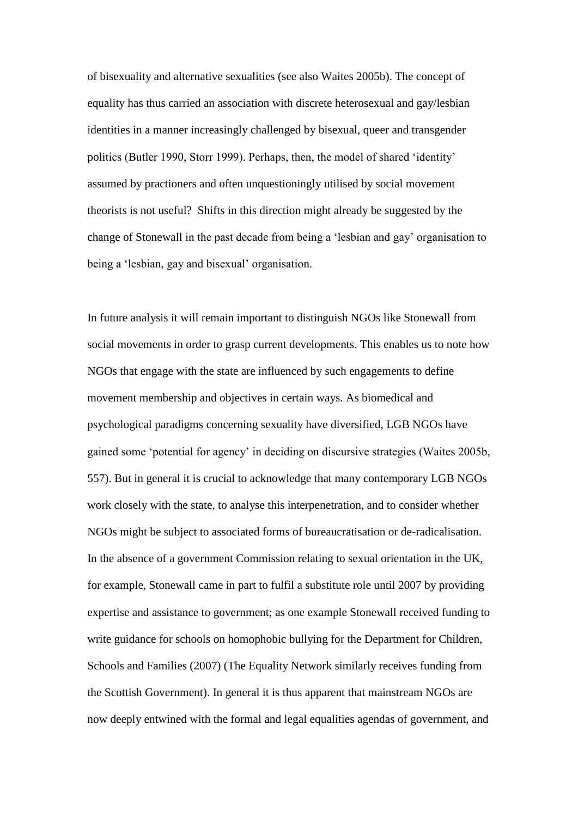of bisexuality and alternative sexualities (see also Waites 2005b). The concept of equality has thus carried an association with discrete heterosexual and gay/lesbian identities in a manner increasingly challenged by bisexual, queer and transgender politics (Butler 1990, Storr 1999). Perhaps, then, the model of shared 'identity' assumed by practioners and often unquestioningly utilised by social movement theorists is not useful? Shifts in this direction might already be suggested by the change of Stonewall in the past decade from being a 'lesbian and gay' organisation to being a 'lesbian, gay and bisexual' organisation.

In future analysis it will remain important to distinguish NGOs like Stonewall from social movements in order to grasp current developments. This enables us to note how NGOs that engage with the state are influenced by such engagements to define movement membership and objectives in certain ways. As biomedical and psychological paradigms concerning sexuality have diversified, LGB NGOs have gained some 'potential for agency' in deciding on discursive strategies (Waites 2005b, 557). But in general it is crucial to acknowledge that many contemporary LGB NGOs work closely with the state, to analyse this interpenetration, and to consider whether NGOs might be subject to associated forms of bureaucratisation or de-radicalisation. In the absence of a government Commission relating to sexual orientation in the UK, for example, Stonewall came in part to fulfil a substitute role until 2007 by providing expertise and assistance to government; as one example Stonewall received funding to write guidance for schools on homophobic bullying for the Department for Children, Schools and Families (2007) (The Equality Network similarly receives funding from the Scottish Government). In general it is thus apparent that mainstream NGOs are now deeply entwined with the formal and legal equalities agendas of government, and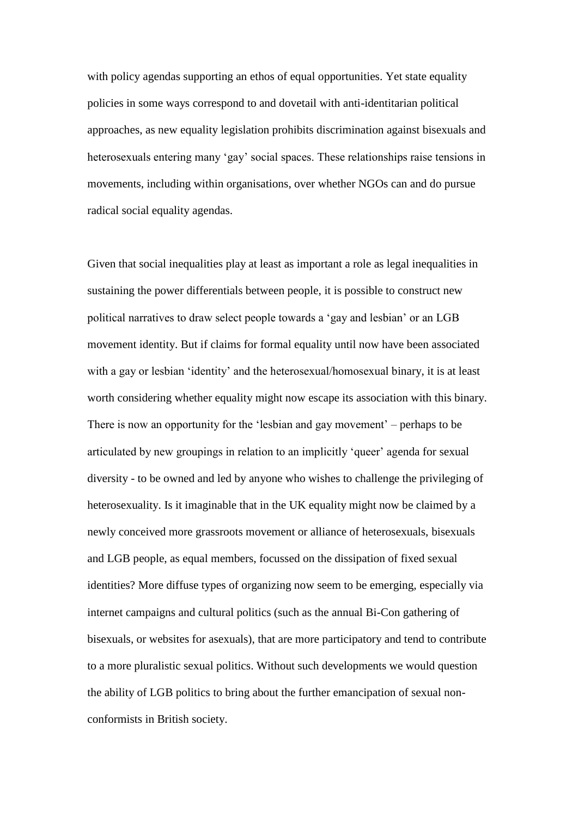with policy agendas supporting an ethos of equal opportunities. Yet state equality policies in some ways correspond to and dovetail with anti-identitarian political approaches, as new equality legislation prohibits discrimination against bisexuals and heterosexuals entering many 'gay' social spaces. These relationships raise tensions in movements, including within organisations, over whether NGOs can and do pursue radical social equality agendas.

Given that social inequalities play at least as important a role as legal inequalities in sustaining the power differentials between people, it is possible to construct new political narratives to draw select people towards a 'gay and lesbian' or an LGB movement identity. But if claims for formal equality until now have been associated with a gay or lesbian 'identity' and the heterosexual/homosexual binary, it is at least worth considering whether equality might now escape its association with this binary. There is now an opportunity for the 'lesbian and gay movement' – perhaps to be articulated by new groupings in relation to an implicitly 'queer' agenda for sexual diversity - to be owned and led by anyone who wishes to challenge the privileging of heterosexuality. Is it imaginable that in the UK equality might now be claimed by a newly conceived more grassroots movement or alliance of heterosexuals, bisexuals and LGB people, as equal members, focussed on the dissipation of fixed sexual identities? More diffuse types of organizing now seem to be emerging, especially via internet campaigns and cultural politics (such as the annual Bi-Con gathering of bisexuals, or websites for asexuals), that are more participatory and tend to contribute to a more pluralistic sexual politics. Without such developments we would question the ability of LGB politics to bring about the further emancipation of sexual nonconformists in British society.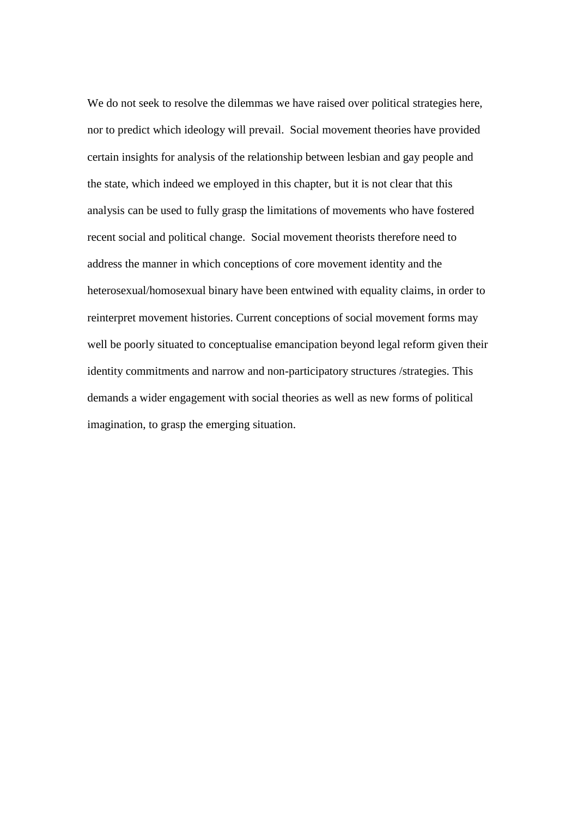We do not seek to resolve the dilemmas we have raised over political strategies here, nor to predict which ideology will prevail. Social movement theories have provided certain insights for analysis of the relationship between lesbian and gay people and the state, which indeed we employed in this chapter, but it is not clear that this analysis can be used to fully grasp the limitations of movements who have fostered recent social and political change. Social movement theorists therefore need to address the manner in which conceptions of core movement identity and the heterosexual/homosexual binary have been entwined with equality claims, in order to reinterpret movement histories. Current conceptions of social movement forms may well be poorly situated to conceptualise emancipation beyond legal reform given their identity commitments and narrow and non-participatory structures /strategies. This demands a wider engagement with social theories as well as new forms of political imagination, to grasp the emerging situation.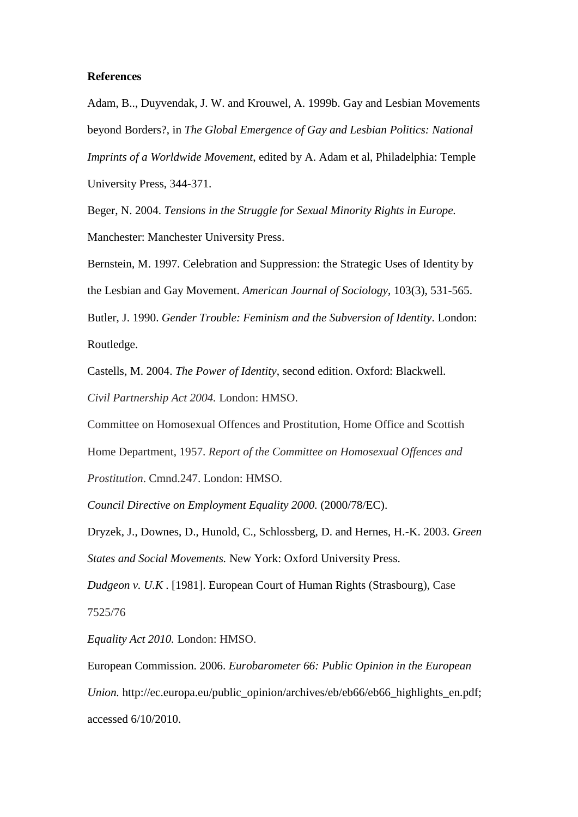#### **References**

Adam, B.., Duyvendak, J. W. and Krouwel, A. 1999b. Gay and Lesbian Movements beyond Borders?, in *The Global Emergence of Gay and Lesbian Politics: National Imprints of a Worldwide Movement*, edited by A. Adam et al, Philadelphia: Temple University Press, 344-371.

Beger, N. 2004. *Tensions in the Struggle for Sexual Minority Rights in Europe.*  Manchester: Manchester University Press.

Bernstein, M. 1997. Celebration and Suppression: the Strategic Uses of Identity by the Lesbian and Gay Movement. *American Journal of Sociology*, 103(3), 531-565. Butler, J. 1990. *Gender Trouble: Feminism and the Subversion of Identity*. London: Routledge.

Castells, M. 2004. *The Power of Identity*, second edition. Oxford: Blackwell. *Civil Partnership Act 2004.* London: HMSO.

Committee on Homosexual Offences and Prostitution, Home Office and Scottish Home Department, 1957. *Report of the Committee on Homosexual Offences and Prostitution*. Cmnd.247. London: HMSO.

*Council Directive on Employment Equality 2000.* (2000/78/EC).

Dryzek, J., Downes, D., Hunold, C., Schlossberg, D. and Hernes, H.-K. 2003. *Green States and Social Movements.* New York: Oxford University Press.

*Dudgeon v. U.K* . [1981]. European Court of Human Rights (Strasbourg), Case 7525/76

*Equality Act 2010.* London: HMSO.

European Commission. 2006. *Eurobarometer 66: Public Opinion in the European Union.* http://ec.europa.eu/public\_opinion/archives/eb/eb66/eb66\_highlights\_en.pdf; accessed 6/10/2010.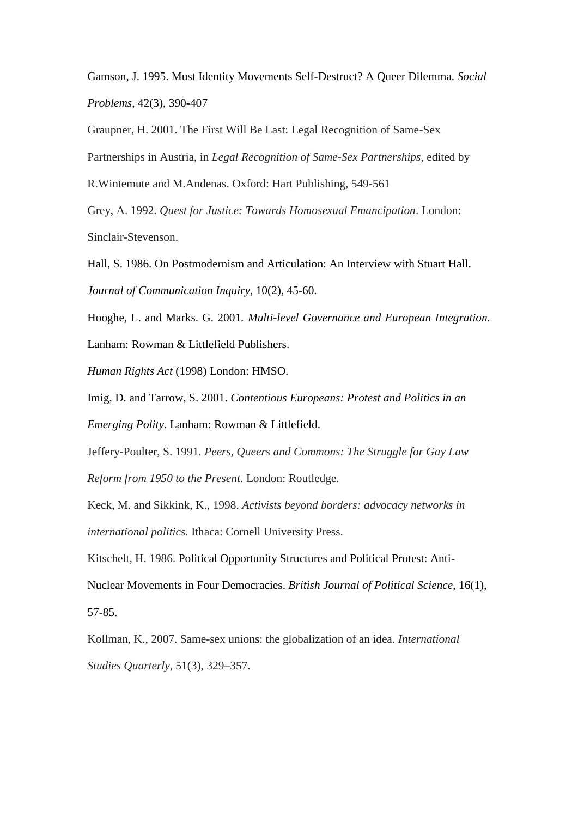Gamson, J. 1995. Must Identity Movements Self-Destruct? A Queer Dilemma. *Social Problems,* 42(3), 390-407

Graupner, H. 2001. The First Will Be Last: Legal Recognition of Same-Sex Partnerships in Austria, in *Legal Recognition of Same-Sex Partnerships,* edited by

R.Wintemute and M.Andenas. Oxford: Hart Publishing, 549-561

Grey, A. 1992. *Quest for Justice: Towards Homosexual Emancipation*. London: Sinclair-Stevenson.

Hall, S. 1986. On Postmodernism and Articulation: An Interview with Stuart Hall. *Journal of Communication Inquiry*, 10(2), 45-60.

Hooghe, L. and Marks. G. 2001. *Multi-level Governance and European Integration.*  Lanham: Rowman & Littlefield Publishers.

*Human Rights Act* (1998) London: HMSO.

Imig, D. and Tarrow, S. 2001. *Contentious Europeans: Protest and Politics in an Emerging Polity.* Lanham: Rowman & Littlefield.

Jeffery-Poulter, S. 1991. *Peers, Queers and Commons: The Struggle for Gay Law Reform from 1950 to the Present*. London: Routledge.

Keck, M. and Sikkink, K., 1998. *Activists beyond borders: advocacy networks in international politics*. Ithaca: Cornell University Press.

Kitschelt, H. 1986. Political Opportunity Structures and Political Protest: Anti-Nuclear Movements in Four Democracies. *British Journal of Political Science*, 16(1), 57-85.

Kollman, K., 2007. Same-sex unions: the globalization of an idea. *International Studies Quarterly*, 51(3), 329–357.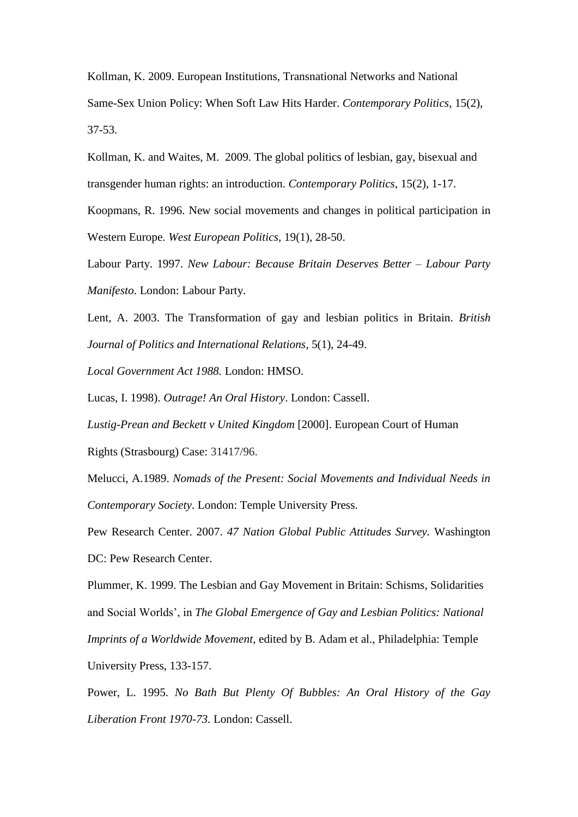Kollman, K. 2009. European Institutions, Transnational Networks and National Same-Sex Union Policy: When Soft Law Hits Harder. *Contemporary Politics*, 15(2), 37-53.

Kollman, K. and Waites, M. 2009. The global politics of lesbian, gay, bisexual and transgender human rights: an introduction. *Contemporary Politics*, 15(2), 1-17.

Koopmans, R. 1996. New social movements and changes in political participation in Western Europe. *West European Politics,* 19(1), 28-50.

Labour Party. 1997. *New Labour: Because Britain Deserves Better – Labour Party Manifesto*. London: Labour Party.

Lent, A. 2003. The Transformation of gay and lesbian politics in Britain. *British Journal of Politics and International Relations*, 5(1), 24-49.

*Local Government Act 1988.* London: HMSO.

Lucas, I. 1998). *Outrage! An Oral History*. London: Cassell.

*Lustig-Prean and Beckett v United Kingdom* [2000]. European Court of Human

Rights (Strasbourg) Case: 31417/96.

Melucci, A.1989. *Nomads of the Present: Social Movements and Individual Needs in Contemporary Society*. London: Temple University Press.

Pew Research Center. 2007. *47 Nation Global Public Attitudes Survey.* Washington DC: Pew Research Center.

Plummer, K. 1999. The Lesbian and Gay Movement in Britain: Schisms, Solidarities and Social Worlds', in *The Global Emergence of Gay and Lesbian Politics: National Imprints of a Worldwide Movement,* edited by B. Adam et al., Philadelphia: Temple University Press, 133-157.

Power, L. 1995. *No Bath But Plenty Of Bubbles: An Oral History of the Gay Liberation Front 1970-73.* London: Cassell.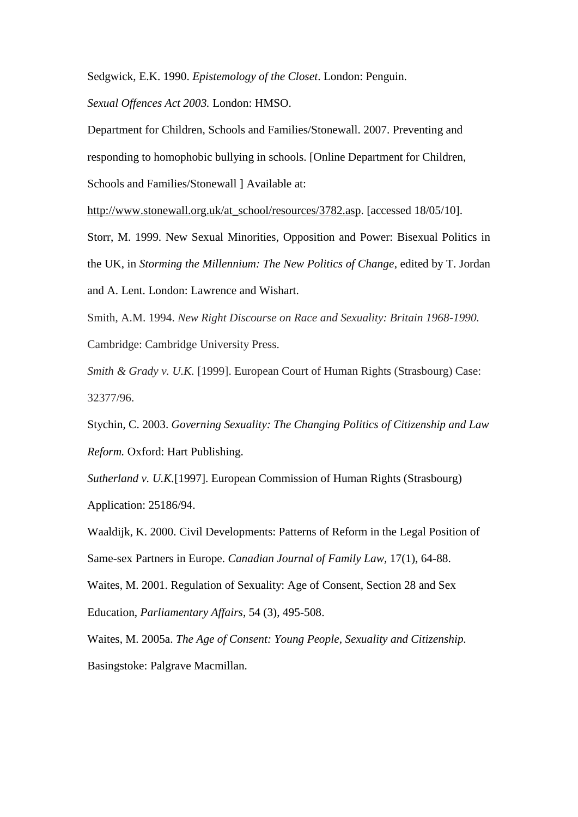Sedgwick, E.K. 1990. *Epistemology of the Closet*. London: Penguin.

*Sexual Offences Act 2003.* London: HMSO.

Department for Children, Schools and Families/Stonewall. 2007. Preventing and responding to homophobic bullying in schools. [Online Department for Children, Schools and Families/Stonewall ] Available at:

[http://www.stonewall.org.uk/at\\_school/resources/3782.asp.](http://www.stonewall.org.uk/at_school/resources/3782.asp) [accessed 18/05/10].

Storr, M. 1999. New Sexual Minorities, Opposition and Power: Bisexual Politics in the UK, in *Storming the Millennium: The New Politics of Change*, edited by T. Jordan and A. Lent. London: Lawrence and Wishart.

Smith, A.M. 1994. *New Right Discourse on Race and Sexuality: Britain 1968-1990.*  Cambridge: Cambridge University Press.

*Smith & Grady v. U.K.* [1999]. European Court of Human Rights (Strasbourg) Case: 32377/96.

Stychin, C. 2003. *Governing Sexuality: The Changing Politics of Citizenship and Law Reform.* Oxford: Hart Publishing.

*Sutherland v. U.K.*[1997]. European Commission of Human Rights (Strasbourg) Application: 25186/94.

Waaldijk, K. 2000. Civil Developments: Patterns of Reform in the Legal Position of Same-sex Partners in Europe. *Canadian Journal of Family Law,* 17(1), 64-88. Waites, M. 2001. Regulation of Sexuality: Age of Consent, Section 28 and Sex Education, *Parliamentary Affairs*, 54 (3), 495-508.

Waites, M. 2005a. *The Age of Consent: Young People, Sexuality and Citizenship.*  Basingstoke: Palgrave Macmillan.